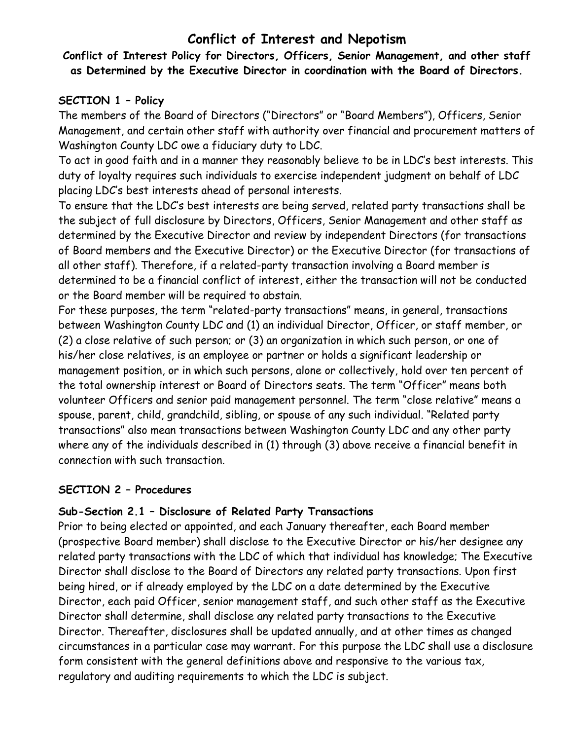# **Conflict of Interest and Nepotism**

**Conflict of Interest Policy for Directors, Officers, Senior Management, and other staff as Determined by the Executive Director in coordination with the Board of Directors.**

#### **SECTION 1 – Policy**

The members of the Board of Directors ("Directors" or "Board Members"), Officers, Senior Management, and certain other staff with authority over financial and procurement matters of Washington County LDC owe a fiduciary duty to LDC.

To act in good faith and in a manner they reasonably believe to be in LDC's best interests. This duty of loyalty requires such individuals to exercise independent judgment on behalf of LDC placing LDC's best interests ahead of personal interests.

To ensure that the LDC's best interests are being served, related party transactions shall be the subject of full disclosure by Directors, Officers, Senior Management and other staff as determined by the Executive Director and review by independent Directors (for transactions of Board members and the Executive Director) or the Executive Director (for transactions of all other staff). Therefore, if a related-party transaction involving a Board member is determined to be a financial conflict of interest, either the transaction will not be conducted or the Board member will be required to abstain.

For these purposes, the term "related-party transactions" means, in general, transactions between Washington County LDC and (1) an individual Director, Officer, or staff member, or (2) a close relative of such person; or (3) an organization in which such person, or one of his/her close relatives, is an employee or partner or holds a significant leadership or management position, or in which such persons, alone or collectively, hold over ten percent of the total ownership interest or Board of Directors seats. The term "Officer" means both volunteer Officers and senior paid management personnel. The term "close relative" means a spouse, parent, child, grandchild, sibling, or spouse of any such individual. "Related party transactions" also mean transactions between Washington County LDC and any other party where any of the individuals described in (1) through (3) above receive a financial benefit in connection with such transaction.

#### **SECTION 2 – Procedures**

### **Sub-Section 2.1 – Disclosure of Related Party Transactions**

Prior to being elected or appointed, and each January thereafter, each Board member (prospective Board member) shall disclose to the Executive Director or his/her designee any related party transactions with the LDC of which that individual has knowledge; The Executive Director shall disclose to the Board of Directors any related party transactions. Upon first being hired, or if already employed by the LDC on a date determined by the Executive Director, each paid Officer, senior management staff, and such other staff as the Executive Director shall determine, shall disclose any related party transactions to the Executive Director. Thereafter, disclosures shall be updated annually, and at other times as changed circumstances in a particular case may warrant. For this purpose the LDC shall use a disclosure form consistent with the general definitions above and responsive to the various tax, regulatory and auditing requirements to which the LDC is subject.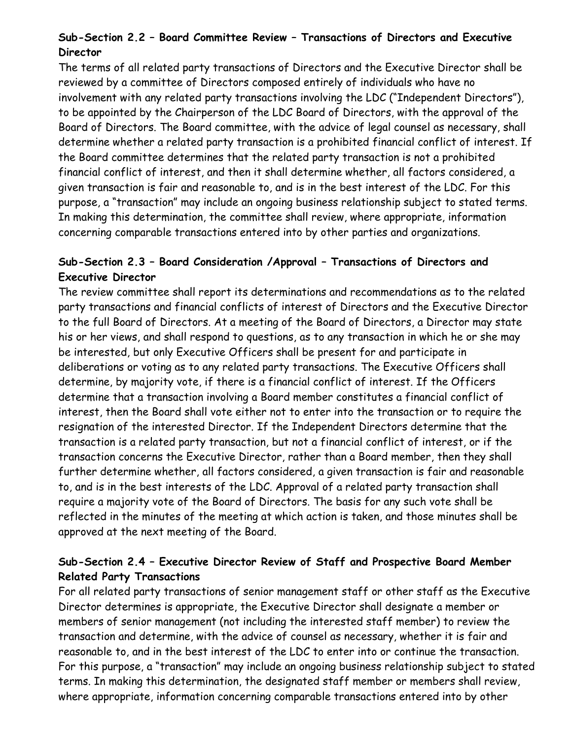## **Sub-Section 2.2 – Board Committee Review – Transactions of Directors and Executive Director**

The terms of all related party transactions of Directors and the Executive Director shall be reviewed by a committee of Directors composed entirely of individuals who have no involvement with any related party transactions involving the LDC ("Independent Directors"), to be appointed by the Chairperson of the LDC Board of Directors, with the approval of the Board of Directors. The Board committee, with the advice of legal counsel as necessary, shall determine whether a related party transaction is a prohibited financial conflict of interest. If the Board committee determines that the related party transaction is not a prohibited financial conflict of interest, and then it shall determine whether, all factors considered, a given transaction is fair and reasonable to, and is in the best interest of the LDC. For this purpose, a "transaction" may include an ongoing business relationship subject to stated terms. In making this determination, the committee shall review, where appropriate, information concerning comparable transactions entered into by other parties and organizations.

#### **Sub-Section 2.3 – Board Consideration /Approval – Transactions of Directors and Executive Director**

The review committee shall report its determinations and recommendations as to the related party transactions and financial conflicts of interest of Directors and the Executive Director to the full Board of Directors. At a meeting of the Board of Directors, a Director may state his or her views, and shall respond to questions, as to any transaction in which he or she may be interested, but only Executive Officers shall be present for and participate in deliberations or voting as to any related party transactions. The Executive Officers shall determine, by majority vote, if there is a financial conflict of interest. If the Officers determine that a transaction involving a Board member constitutes a financial conflict of interest, then the Board shall vote either not to enter into the transaction or to require the resignation of the interested Director. If the Independent Directors determine that the transaction is a related party transaction, but not a financial conflict of interest, or if the transaction concerns the Executive Director, rather than a Board member, then they shall further determine whether, all factors considered, a given transaction is fair and reasonable to, and is in the best interests of the LDC. Approval of a related party transaction shall require a majority vote of the Board of Directors. The basis for any such vote shall be reflected in the minutes of the meeting at which action is taken, and those minutes shall be approved at the next meeting of the Board.

#### **Sub-Section 2.4 – Executive Director Review of Staff and Prospective Board Member Related Party Transactions**

For all related party transactions of senior management staff or other staff as the Executive Director determines is appropriate, the Executive Director shall designate a member or members of senior management (not including the interested staff member) to review the transaction and determine, with the advice of counsel as necessary, whether it is fair and reasonable to, and in the best interest of the LDC to enter into or continue the transaction. For this purpose, a "transaction" may include an ongoing business relationship subject to stated terms. In making this determination, the designated staff member or members shall review, where appropriate, information concerning comparable transactions entered into by other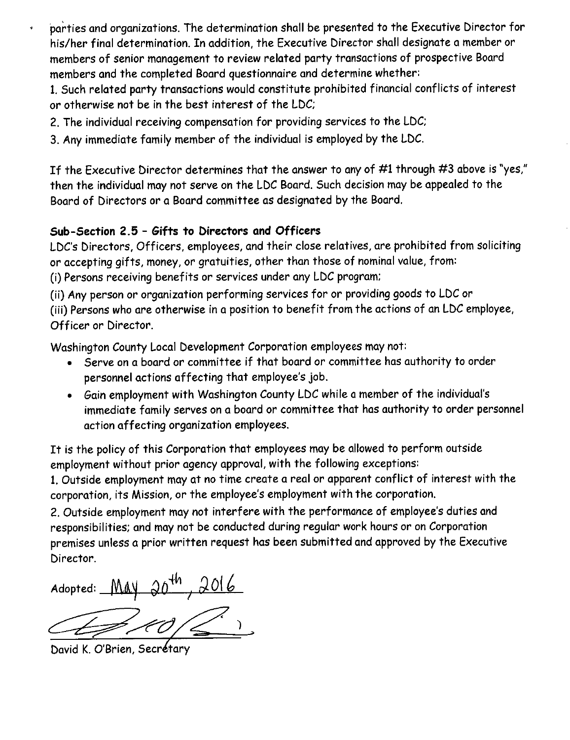parties and organizations. The determination shall be presented to the Executive Director for his/her final determination. In addition, the Executive Director shall designate a member or members of senior management to review related party transactions of prospective Board members and the completed Board questionnaire and determine whether:

1. Such related party transactions would constitute prohibited financial conflicts of interest or otherwise not be in the best interest of the LDC;

- 2. The individual receiving compensation for providing services to the LDC:
- 3. Any immediate family member of the individual is employed by the LDC.

If the Executive Director determines that the answer to any of #1 through #3 above is "yes," then the individual may not serve on the LDC Board. Such decision may be appealed to the Board of Directors or a Board committee as designated by the Board.

#### Sub-Section 2.5 - Gifts to Directors and Officers

LDC's Directors, Officers, employees, and their close relatives, are prohibited from soliciting or accepting gifts, money, or gratuities, other than those of nominal value, from: (i) Persons receiving benefits or services under any LDC program;

(ii) Any person or organization performing services for or providing goods to LDC or

(iii) Persons who are otherwise in a position to benefit from the actions of an LDC employee, Officer or Director.

Washington County Local Development Corporation employees may not:

- Serve on a board or committee if that board or committee has authority to order personnel actions affecting that employee's job.
- Gain employment with Washington County LDC while a member of the individual's immediate family serves on a board or committee that has authority to order personnel action affecting organization employees.

It is the policy of this Corporation that employees may be allowed to perform outside employment without prior agency approval, with the following exceptions:

1. Outside employment may at no time create a real or apparent conflict of interest with the corporation, its Mission, or the employee's employment with the corporation.

2. Outside employment may not interfere with the performance of employee's duties and responsibilities; and may not be conducted during regular work hours or on Corporation premises unless a prior written request has been submitted and approved by the Executive Director.

Adopted: May 20<sup>th</sup>, 2016

David K. O'Brien, Secrétary